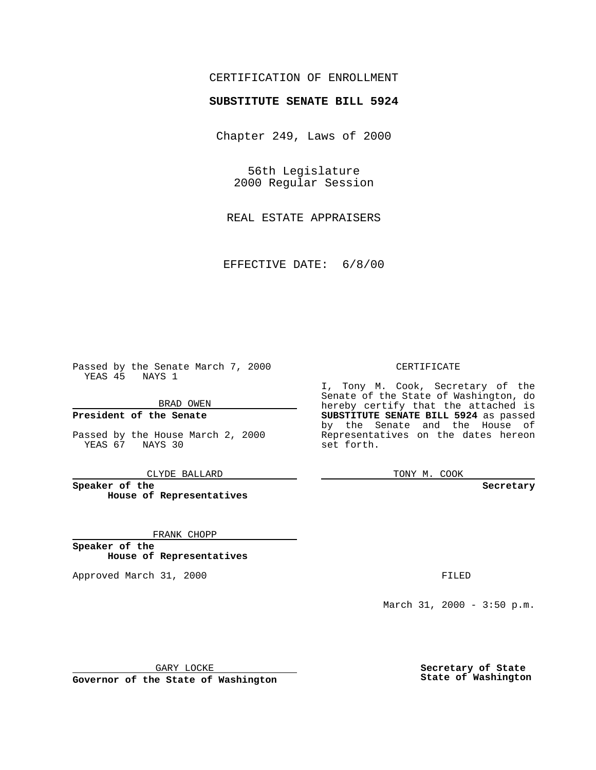### CERTIFICATION OF ENROLLMENT

# **SUBSTITUTE SENATE BILL 5924**

Chapter 249, Laws of 2000

56th Legislature 2000 Regular Session

REAL ESTATE APPRAISERS

EFFECTIVE DATE: 6/8/00

Passed by the Senate March 7, 2000 YEAS 45 NAYS 1

BRAD OWEN

**President of the Senate**

Passed by the House March 2, 2000 YEAS 67 NAYS 30

CLYDE BALLARD

**Speaker of the House of Representatives**

FRANK CHOPP

**Speaker of the House of Representatives**

Approved March 31, 2000 FILED

#### CERTIFICATE

I, Tony M. Cook, Secretary of the Senate of the State of Washington, do hereby certify that the attached is **SUBSTITUTE SENATE BILL 5924** as passed by the Senate and the House of Representatives on the dates hereon set forth.

TONY M. COOK

**Secretary**

March 31, 2000 - 3:50 p.m.

GARY LOCKE

**Governor of the State of Washington**

**Secretary of State State of Washington**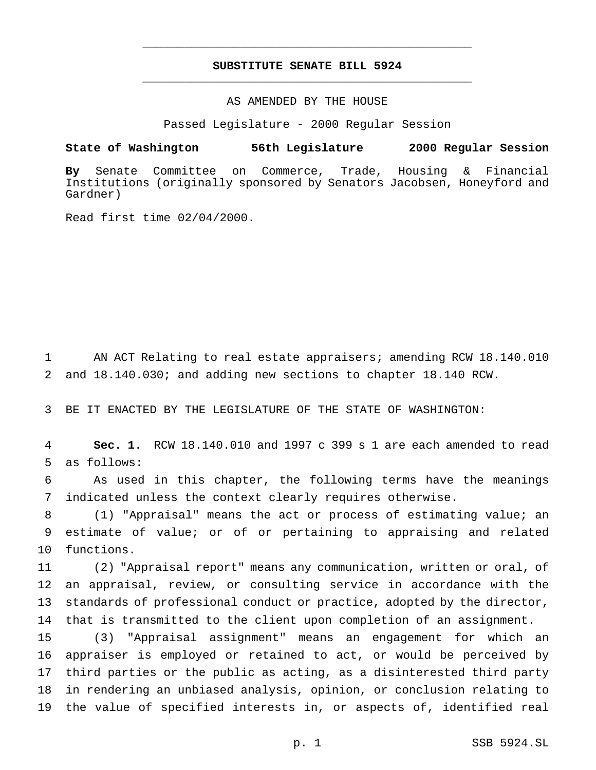## **SUBSTITUTE SENATE BILL 5924** \_\_\_\_\_\_\_\_\_\_\_\_\_\_\_\_\_\_\_\_\_\_\_\_\_\_\_\_\_\_\_\_\_\_\_\_\_\_\_\_\_\_\_\_\_\_\_

\_\_\_\_\_\_\_\_\_\_\_\_\_\_\_\_\_\_\_\_\_\_\_\_\_\_\_\_\_\_\_\_\_\_\_\_\_\_\_\_\_\_\_\_\_\_\_

### AS AMENDED BY THE HOUSE

Passed Legislature - 2000 Regular Session

#### **State of Washington 56th Legislature 2000 Regular Session**

**By** Senate Committee on Commerce, Trade, Housing & Financial Institutions (originally sponsored by Senators Jacobsen, Honeyford and Gardner)

Read first time 02/04/2000.

 AN ACT Relating to real estate appraisers; amending RCW 18.140.010 and 18.140.030; and adding new sections to chapter 18.140 RCW.

BE IT ENACTED BY THE LEGISLATURE OF THE STATE OF WASHINGTON:

 **Sec. 1.** RCW 18.140.010 and 1997 c 399 s 1 are each amended to read as follows:

 As used in this chapter, the following terms have the meanings indicated unless the context clearly requires otherwise.

 (1) "Appraisal" means the act or process of estimating value; an estimate of value; or of or pertaining to appraising and related functions.

 (2) "Appraisal report" means any communication, written or oral, of an appraisal, review, or consulting service in accordance with the standards of professional conduct or practice, adopted by the director, that is transmitted to the client upon completion of an assignment.

 (3) "Appraisal assignment" means an engagement for which an appraiser is employed or retained to act, or would be perceived by third parties or the public as acting, as a disinterested third party in rendering an unbiased analysis, opinion, or conclusion relating to the value of specified interests in, or aspects of, identified real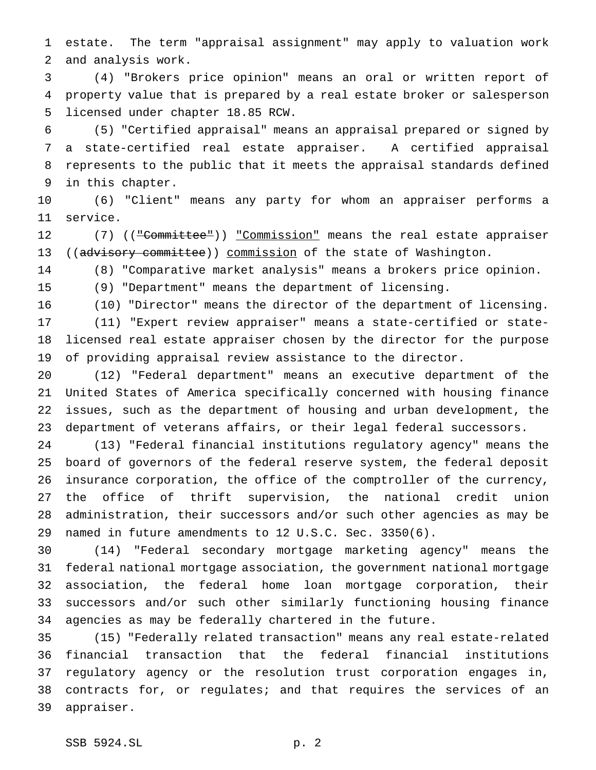estate. The term "appraisal assignment" may apply to valuation work and analysis work.

 (4) "Brokers price opinion" means an oral or written report of property value that is prepared by a real estate broker or salesperson licensed under chapter 18.85 RCW.

 (5) "Certified appraisal" means an appraisal prepared or signed by a state-certified real estate appraiser. A certified appraisal represents to the public that it meets the appraisal standards defined in this chapter.

 (6) "Client" means any party for whom an appraiser performs a service.

12 (7) (("Committee")) "Commission" means the real estate appraiser 13 ((advisory committee)) commission of the state of Washington.

(8) "Comparative market analysis" means a brokers price opinion.

(9) "Department" means the department of licensing.

(10) "Director" means the director of the department of licensing.

 (11) "Expert review appraiser" means a state-certified or state- licensed real estate appraiser chosen by the director for the purpose of providing appraisal review assistance to the director.

 (12) "Federal department" means an executive department of the United States of America specifically concerned with housing finance issues, such as the department of housing and urban development, the department of veterans affairs, or their legal federal successors.

 (13) "Federal financial institutions regulatory agency" means the board of governors of the federal reserve system, the federal deposit insurance corporation, the office of the comptroller of the currency, the office of thrift supervision, the national credit union administration, their successors and/or such other agencies as may be named in future amendments to 12 U.S.C. Sec. 3350(6).

 (14) "Federal secondary mortgage marketing agency" means the federal national mortgage association, the government national mortgage association, the federal home loan mortgage corporation, their successors and/or such other similarly functioning housing finance agencies as may be federally chartered in the future.

 (15) "Federally related transaction" means any real estate-related financial transaction that the federal financial institutions regulatory agency or the resolution trust corporation engages in, contracts for, or regulates; and that requires the services of an appraiser.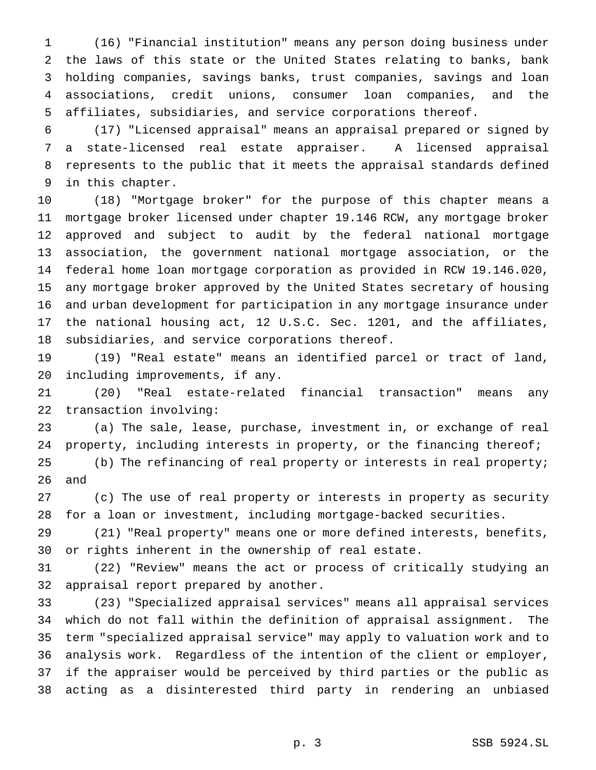(16) "Financial institution" means any person doing business under the laws of this state or the United States relating to banks, bank holding companies, savings banks, trust companies, savings and loan associations, credit unions, consumer loan companies, and the affiliates, subsidiaries, and service corporations thereof.

 (17) "Licensed appraisal" means an appraisal prepared or signed by a state-licensed real estate appraiser. A licensed appraisal represents to the public that it meets the appraisal standards defined in this chapter.

 (18) "Mortgage broker" for the purpose of this chapter means a mortgage broker licensed under chapter 19.146 RCW, any mortgage broker approved and subject to audit by the federal national mortgage association, the government national mortgage association, or the federal home loan mortgage corporation as provided in RCW 19.146.020, any mortgage broker approved by the United States secretary of housing and urban development for participation in any mortgage insurance under the national housing act, 12 U.S.C. Sec. 1201, and the affiliates, subsidiaries, and service corporations thereof.

 (19) "Real estate" means an identified parcel or tract of land, including improvements, if any.

 (20) "Real estate-related financial transaction" means any transaction involving:

 (a) The sale, lease, purchase, investment in, or exchange of real property, including interests in property, or the financing thereof;

 (b) The refinancing of real property or interests in real property; and

 (c) The use of real property or interests in property as security for a loan or investment, including mortgage-backed securities.

 (21) "Real property" means one or more defined interests, benefits, or rights inherent in the ownership of real estate.

 (22) "Review" means the act or process of critically studying an appraisal report prepared by another.

 (23) "Specialized appraisal services" means all appraisal services which do not fall within the definition of appraisal assignment. The term "specialized appraisal service" may apply to valuation work and to analysis work. Regardless of the intention of the client or employer, if the appraiser would be perceived by third parties or the public as acting as a disinterested third party in rendering an unbiased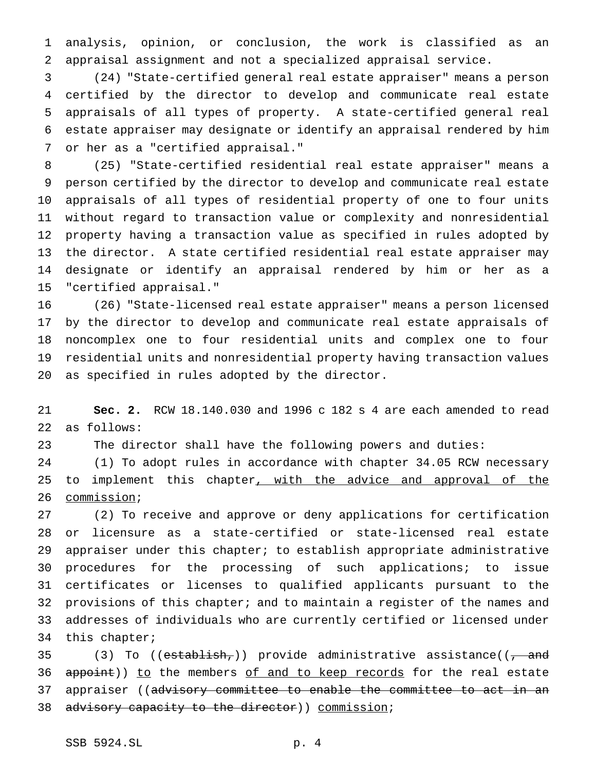analysis, opinion, or conclusion, the work is classified as an appraisal assignment and not a specialized appraisal service.

 (24) "State-certified general real estate appraiser" means a person certified by the director to develop and communicate real estate appraisals of all types of property. A state-certified general real estate appraiser may designate or identify an appraisal rendered by him or her as a "certified appraisal."

 (25) "State-certified residential real estate appraiser" means a person certified by the director to develop and communicate real estate appraisals of all types of residential property of one to four units without regard to transaction value or complexity and nonresidential property having a transaction value as specified in rules adopted by the director. A state certified residential real estate appraiser may designate or identify an appraisal rendered by him or her as a "certified appraisal."

 (26) "State-licensed real estate appraiser" means a person licensed by the director to develop and communicate real estate appraisals of noncomplex one to four residential units and complex one to four residential units and nonresidential property having transaction values as specified in rules adopted by the director.

 **Sec. 2.** RCW 18.140.030 and 1996 c 182 s 4 are each amended to read as follows:

The director shall have the following powers and duties:

 (1) To adopt rules in accordance with chapter 34.05 RCW necessary 25 to implement this chapter, with the advice and approval of the commission;

 (2) To receive and approve or deny applications for certification or licensure as a state-certified or state-licensed real estate appraiser under this chapter; to establish appropriate administrative procedures for the processing of such applications; to issue certificates or licenses to qualified applicants pursuant to the provisions of this chapter; and to maintain a register of the names and addresses of individuals who are currently certified or licensed under this chapter;

35 (3) To (( $establish$ )) provide administrative assistance(( $\frac{1}{100}$  and 36 appoint)) to the members of and to keep records for the real estate appraiser ((advisory committee to enable the committee to act in an 38 advisory capacity to the director)) commission;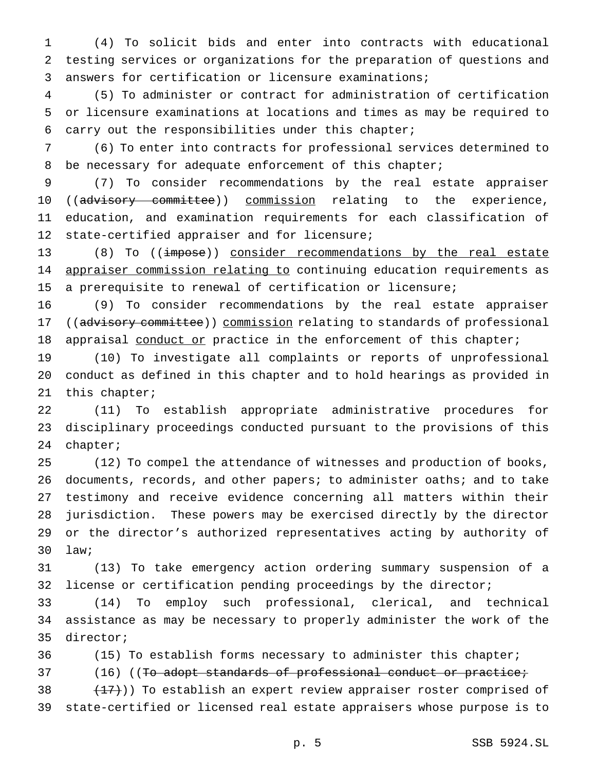(4) To solicit bids and enter into contracts with educational testing services or organizations for the preparation of questions and answers for certification or licensure examinations;

 (5) To administer or contract for administration of certification or licensure examinations at locations and times as may be required to carry out the responsibilities under this chapter;

 (6) To enter into contracts for professional services determined to 8 be necessary for adequate enforcement of this chapter;

 (7) To consider recommendations by the real estate appraiser 10 ((advisory committee)) commission relating to the experience, education, and examination requirements for each classification of state-certified appraiser and for licensure;

 (8) To ((impose)) consider recommendations by the real estate 14 appraiser commission relating to continuing education requirements as a prerequisite to renewal of certification or licensure;

 (9) To consider recommendations by the real estate appraiser 17 ((advisory committee)) commission relating to standards of professional 18 appraisal conduct or practice in the enforcement of this chapter;

 (10) To investigate all complaints or reports of unprofessional conduct as defined in this chapter and to hold hearings as provided in this chapter;

 (11) To establish appropriate administrative procedures for disciplinary proceedings conducted pursuant to the provisions of this chapter;

 (12) To compel the attendance of witnesses and production of books, documents, records, and other papers; to administer oaths; and to take testimony and receive evidence concerning all matters within their jurisdiction. These powers may be exercised directly by the director or the director's authorized representatives acting by authority of law;

 (13) To take emergency action ordering summary suspension of a license or certification pending proceedings by the director;

 (14) To employ such professional, clerical, and technical assistance as may be necessary to properly administer the work of the director;

(15) To establish forms necessary to administer this chapter;

37 (16) ((To adopt standards of professional conduct or practice;

38  $(17)$ )) To establish an expert review appraiser roster comprised of state-certified or licensed real estate appraisers whose purpose is to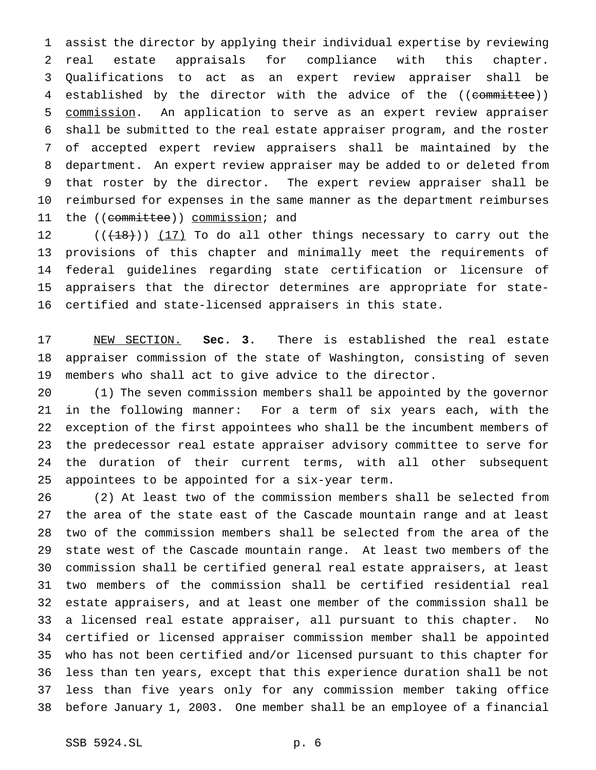assist the director by applying their individual expertise by reviewing real estate appraisals for compliance with this chapter. Qualifications to act as an expert review appraiser shall be established by the director with the advice of the ((committee)) commission. An application to serve as an expert review appraiser shall be submitted to the real estate appraiser program, and the roster of accepted expert review appraisers shall be maintained by the department. An expert review appraiser may be added to or deleted from that roster by the director. The expert review appraiser shall be reimbursed for expenses in the same manner as the department reimburses 11 the ((committee)) commission; and

 $((+18))$   $(17)$  To do all other things necessary to carry out the provisions of this chapter and minimally meet the requirements of federal guidelines regarding state certification or licensure of appraisers that the director determines are appropriate for state-certified and state-licensed appraisers in this state.

 NEW SECTION. **Sec. 3.** There is established the real estate appraiser commission of the state of Washington, consisting of seven members who shall act to give advice to the director.

 (1) The seven commission members shall be appointed by the governor in the following manner: For a term of six years each, with the exception of the first appointees who shall be the incumbent members of the predecessor real estate appraiser advisory committee to serve for the duration of their current terms, with all other subsequent appointees to be appointed for a six-year term.

 (2) At least two of the commission members shall be selected from the area of the state east of the Cascade mountain range and at least two of the commission members shall be selected from the area of the state west of the Cascade mountain range. At least two members of the commission shall be certified general real estate appraisers, at least two members of the commission shall be certified residential real estate appraisers, and at least one member of the commission shall be a licensed real estate appraiser, all pursuant to this chapter. No certified or licensed appraiser commission member shall be appointed who has not been certified and/or licensed pursuant to this chapter for less than ten years, except that this experience duration shall be not less than five years only for any commission member taking office before January 1, 2003. One member shall be an employee of a financial